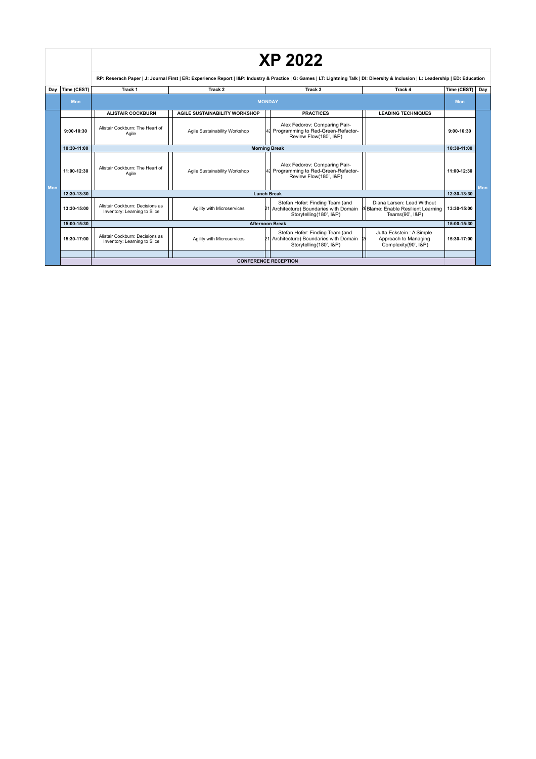|     |             | <b>XP 2022</b>                                                                                                                                                                       |                                      |  |                                                                                                         |                                                                                     |             |     |
|-----|-------------|--------------------------------------------------------------------------------------------------------------------------------------------------------------------------------------|--------------------------------------|--|---------------------------------------------------------------------------------------------------------|-------------------------------------------------------------------------------------|-------------|-----|
|     |             | RP: Reserach Paper   J: Journal First   ER: Experience Report   I&P: Industry & Practice   G: Games   LT: Lightning Talk   DI: Diversity & Inclusion   L: Leadership   ED: Education |                                      |  |                                                                                                         |                                                                                     |             |     |
| Dav | Time (CEST) | Track 1                                                                                                                                                                              | Track 2                              |  | Track <sub>3</sub>                                                                                      | Track 4                                                                             | Time (CEST) | Day |
|     | <b>Mon</b>  | <b>MONDAY</b>                                                                                                                                                                        |                                      |  |                                                                                                         |                                                                                     | Mon         |     |
|     |             | <b>ALISTAIR COCKBURN</b>                                                                                                                                                             | <b>AGILE SUSTAINABILITY WORKSHOP</b> |  | <b>PRACTICES</b>                                                                                        | <b>LEADING TECHNIQUES</b>                                                           |             |     |
|     | 9:00-10:30  | Alistair Cockburn: The Heart of<br>Agile                                                                                                                                             | Agile Sustainability Workshop        |  | Alex Fedorov: Comparing Pair-<br>41 Programming to Red-Green-Refactor-<br>Review Flow(180', I&P)        |                                                                                     | 9:00-10:30  |     |
|     | 10:30-11:00 | <b>Morning Break</b>                                                                                                                                                                 |                                      |  |                                                                                                         |                                                                                     | 10:30-11:00 |     |
| Mon | 11:00-12:30 | Alistair Cockburn: The Heart of<br>Agile                                                                                                                                             | Agile Sustainability Workshop        |  | Alex Fedorov: Comparing Pair-<br>41 Programming to Red-Green-Refactor-<br>Review Flow(180', I&P)        |                                                                                     | 11:00-12:30 | Mon |
|     | 12:30-13:30 | <b>Lunch Break</b>                                                                                                                                                                   |                                      |  |                                                                                                         |                                                                                     | 12:30-13:30 |     |
|     | 13:30-15:00 | Alistair Cockburn: Decisions as<br>Inventory: Learning to Slice                                                                                                                      | Agility with Microservices           |  | Stefan Hofer: Finding Team (and<br>21 Architecture) Boundaries with Domain<br>Storytelling(180', I&P)   | Diana Larsen: Lead Without<br>PeBlame: Enable Resilient Learning<br>Teams(90', I&P) | 13:30-15:00 |     |
|     | 15:00-15:30 | <b>Afternoon Break</b>                                                                                                                                                               |                                      |  |                                                                                                         |                                                                                     |             |     |
|     | 15:30-17:00 | Alistair Cockburn: Decisions as<br>Inventory: Learning to Slice                                                                                                                      | Agility with Microservices           |  | Stefan Hofer: Finding Team (and<br>21 Architecture) Boundaries with Domain 2<br>Storytelling(180', I&P) | Jutta Eckstein: A Simple<br>Approach to Managing<br>Complexity(90', I&P)            | 15:30-17:00 |     |
|     |             |                                                                                                                                                                                      |                                      |  |                                                                                                         |                                                                                     |             |     |
|     |             | <b>CONFERENCE RECEPTION</b>                                                                                                                                                          |                                      |  |                                                                                                         |                                                                                     |             |     |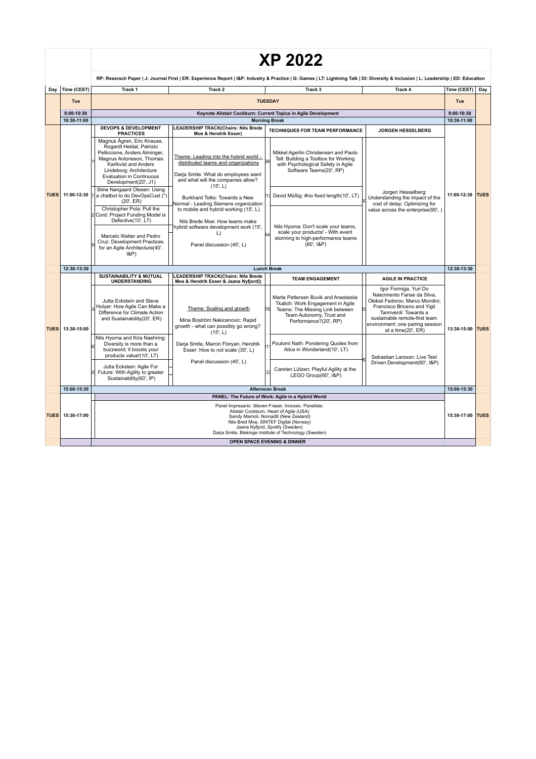|             |                | <b>XP 2022</b>                                                                                                                                                                                                                                                                               |                                                                                                                                                                                                                                                                              |                                                                                                                                                                                                                                            |                                                                                                                             |                  |     |
|-------------|----------------|----------------------------------------------------------------------------------------------------------------------------------------------------------------------------------------------------------------------------------------------------------------------------------------------|------------------------------------------------------------------------------------------------------------------------------------------------------------------------------------------------------------------------------------------------------------------------------|--------------------------------------------------------------------------------------------------------------------------------------------------------------------------------------------------------------------------------------------|-----------------------------------------------------------------------------------------------------------------------------|------------------|-----|
|             |                | RP: Reserach Paper   J: Journal First   ER: Experience Report   I&P: Industry & Practice   G: Games   LT: Lightning Talk   DI: Diversity & Inclusion   L: Leadership   ED: Education                                                                                                         |                                                                                                                                                                                                                                                                              |                                                                                                                                                                                                                                            |                                                                                                                             |                  |     |
| Day         | Time (CEST)    | Track 1                                                                                                                                                                                                                                                                                      | Track 2                                                                                                                                                                                                                                                                      | Track <sub>3</sub>                                                                                                                                                                                                                         | Track 4                                                                                                                     | Time (CEST)      | Day |
|             | Tue            |                                                                                                                                                                                                                                                                                              |                                                                                                                                                                                                                                                                              | <b>TUESDAY</b>                                                                                                                                                                                                                             |                                                                                                                             | Tue              |     |
|             | $9:00 - 10:30$ |                                                                                                                                                                                                                                                                                              |                                                                                                                                                                                                                                                                              | Keynote Alistair Cockburn: Current Topics in Agile Development                                                                                                                                                                             |                                                                                                                             | $9:00 - 10:30$   |     |
|             | 10:30-11:00    |                                                                                                                                                                                                                                                                                              |                                                                                                                                                                                                                                                                              | <b>Morning Break</b>                                                                                                                                                                                                                       |                                                                                                                             | 10:30-11:00      |     |
| <b>TUES</b> | 11:00-12:30    | <b>DEVOPS &amp; DEVELOPMENT</b><br><b>PRACTICES</b>                                                                                                                                                                                                                                          | <b>LEADERSHIP TRACK(Chairs: Nils Brede</b><br>Moe & Hendrik Esser)                                                                                                                                                                                                           | <b>TECHNIQUES FOR TEAM PERFORMANCE</b>                                                                                                                                                                                                     | <b>JORGEN HESSELBERG</b>                                                                                                    | 11:00-12:30 TUES |     |
|             |                | Magnus Ågren, Eric Knauss,<br>Rogardt Heldal, Patrizio<br>Pelliccione, Anders Alminger,<br>Magnus Antonsson, Thomas<br>Karlkvist and Anders<br>Lindeborg: Architecture<br>Evaluation in Continuous<br>Development(20', J1)<br>Stine Nørgaard Olesen: Using<br>a chatbot to do DevOpsCust (*) | Theme: Leading into the hybrid world -<br>distributed teams and organizations<br>Darja Smite: What do employees want<br>and what will the companies allow?<br>(15, L)<br>Burkhard Tolks: Towards a New                                                                       | Mikkel Agerlin Christensen and Paolo<br>Tell: Building a Toolbox for Working<br>with Psychological Safety in Agile<br>Software Teams(20', RP)<br>David Müßig: #no fixed length(10', LT)                                                    | Jorgen Hesselberg:<br>Understanding the impact of the<br>cost of delay: Optimizing for<br>value across the enterprise(90',) |                  |     |
|             |                | (20', ER)<br>Christopher Pola: Pull the<br>2 Cord: Project Funding Model is<br>Defective(10', LT)<br>Marcelo Walter and Pedro<br>Cruz: Development Practices<br>for an Agile Architecture(40',<br>$ 8P\rangle$                                                                               | Normal - Leading Siemens organization<br>to mobile and hybrid working (15', L)<br>Nils Brede Moe: How teams make<br>hybrid software development work (15',<br>L)<br>Panel discussion (45', L)                                                                                | Nils Hyoma: Don't scale your teams,<br>scale your products! - With event<br>storming to high-performance teams<br>(60', 18P)                                                                                                               |                                                                                                                             |                  |     |
|             | 12:30-13:30    |                                                                                                                                                                                                                                                                                              |                                                                                                                                                                                                                                                                              | <b>Lunch Break</b>                                                                                                                                                                                                                         |                                                                                                                             | 12:30-13:30      |     |
|             |                | <b>SUSTAINABILITY &amp; MUTUAL</b><br><b>UNDERSTANDING</b>                                                                                                                                                                                                                                   | <b>LEADERSHIP TRACK(Chairs: Nils Brede</b><br>Moe & Hendrik Esser & Jaana Nyfjord))                                                                                                                                                                                          | <b>TEAM ENGAGEMENT</b>                                                                                                                                                                                                                     | <b>AGILE IN PRACTICE</b>                                                                                                    |                  |     |
| <b>TUES</b> | 13:30-15:00    | Jutta Eckstein and Steve<br>Holyer: How Agile Can Make a<br>Theme: Scaling and growth<br>Difference for Climate Action<br>and Sustainability(20', ER)<br>Mina Boström Nakicenovic: Rapid<br>growth - what can possibly go wrong?<br>(15, L)                                                  | Marte Pettersen Buvik and Anastasiia<br>Tkalich: Work Engagement in Agile<br>Teams: The Missing Link between<br>Team Autonomy, Trust and<br>Performance?(20', RP)                                                                                                            | Igor Formiga, Yuri Do<br>Nascimento Farias da Silva,<br>Oleksii Fedorov, Marco Mondini,<br>Francisco Briceno and Yigit<br>Tanriverdi: Towards a<br>sustainable remote-first team<br>environment: one pairing session<br>at a time(20', ER) | 13:30-15:00 TUES                                                                                                            |                  |     |
|             |                | Nils Hyoma and Kira Naehring:<br>Diversity is more than a<br>buzzword; it boosts your<br>products value!(10', LT)                                                                                                                                                                            | Darja Smite, Marcin Floryan, Hendrik<br>Esser: How to not scale (30', L)                                                                                                                                                                                                     | Poulomi Nath: Pondering Quotes from<br>Alice in Wonderland(10', LT)                                                                                                                                                                        | Sebastian Larsson: Live Test                                                                                                |                  |     |
|             |                | Jutta Eckstein: Agile For<br>Future: With Agility to greater<br>Sustainability(60', IP)                                                                                                                                                                                                      | Panel discussion (45', L)                                                                                                                                                                                                                                                    | Carsten Lützen: Playful Agility at the<br>LEGO Group(60', I&P)                                                                                                                                                                             | Driven Development(60', I&P)                                                                                                |                  |     |
|             | 15:00-15:30    |                                                                                                                                                                                                                                                                                              |                                                                                                                                                                                                                                                                              | <b>Afternoon Break</b>                                                                                                                                                                                                                     |                                                                                                                             | 15:00-15:30      |     |
| <b>TUES</b> |                |                                                                                                                                                                                                                                                                                              |                                                                                                                                                                                                                                                                              | PANEL: The Future of Work: Agile in a Hybrid World                                                                                                                                                                                         |                                                                                                                             |                  |     |
|             | 15:30-17:00    |                                                                                                                                                                                                                                                                                              | Panel Impresario: Steven Fraser, Innoxec. Panelists:<br>Alistair Cockburn, Heart of Agile (USA)<br>Sandy Mamoli, Nomad8 (New Zealand)<br>Nils Bred Moe, SINTEF Digital (Norway)<br>Jaana Nyfjord, Spotify (Sweden)<br>Darja Smite, Blekinge Institute of Technology (Sweden) |                                                                                                                                                                                                                                            | 15:30-17:00 TUES                                                                                                            |                  |     |
|             |                | OPEN SPACE EVENING & DINNER                                                                                                                                                                                                                                                                  |                                                                                                                                                                                                                                                                              |                                                                                                                                                                                                                                            |                                                                                                                             |                  |     |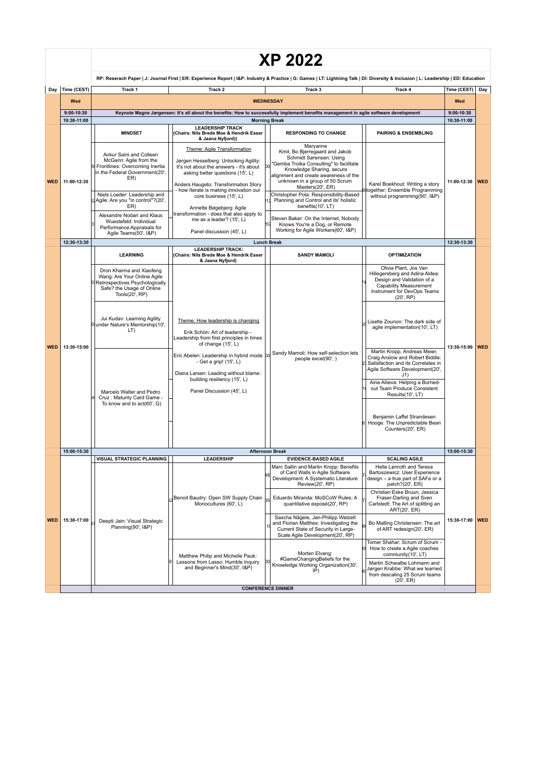|            |             |                                                                                                                                                                                                                                                                                                                                                                                                                                                                                                                                                                                                        |                                                                                                                                                                                                                                                                                                                                                                                                  | RP: Reserach Paper   J: Journal First   ER: Experience Report   I&P: Industry & Practice   G: Games   LT: Lightning Talk   DI: Diversity & Inclusion   L: Leadership   ED: Education                                                                                                                                                                                                                                                                                         |                                                                                                                                                                                                                                      |                   |            |  |
|------------|-------------|--------------------------------------------------------------------------------------------------------------------------------------------------------------------------------------------------------------------------------------------------------------------------------------------------------------------------------------------------------------------------------------------------------------------------------------------------------------------------------------------------------------------------------------------------------------------------------------------------------|--------------------------------------------------------------------------------------------------------------------------------------------------------------------------------------------------------------------------------------------------------------------------------------------------------------------------------------------------------------------------------------------------|------------------------------------------------------------------------------------------------------------------------------------------------------------------------------------------------------------------------------------------------------------------------------------------------------------------------------------------------------------------------------------------------------------------------------------------------------------------------------|--------------------------------------------------------------------------------------------------------------------------------------------------------------------------------------------------------------------------------------|-------------------|------------|--|
| Day        | Time (CEST) | Track 1                                                                                                                                                                                                                                                                                                                                                                                                                                                                                                                                                                                                | Track 2                                                                                                                                                                                                                                                                                                                                                                                          | Track 3                                                                                                                                                                                                                                                                                                                                                                                                                                                                      | Track 4                                                                                                                                                                                                                              | Time (CEST)   Day |            |  |
|            | Wed         | <b>WEDNESDAY</b>                                                                                                                                                                                                                                                                                                                                                                                                                                                                                                                                                                                       |                                                                                                                                                                                                                                                                                                                                                                                                  |                                                                                                                                                                                                                                                                                                                                                                                                                                                                              |                                                                                                                                                                                                                                      |                   |            |  |
|            | 9:00-10:30  | Keynote Magne Jørgensen: It's all about the benefits: How to successfully implement benefits management in agile software development                                                                                                                                                                                                                                                                                                                                                                                                                                                                  |                                                                                                                                                                                                                                                                                                                                                                                                  |                                                                                                                                                                                                                                                                                                                                                                                                                                                                              |                                                                                                                                                                                                                                      |                   |            |  |
|            | 10:30-11:00 |                                                                                                                                                                                                                                                                                                                                                                                                                                                                                                                                                                                                        |                                                                                                                                                                                                                                                                                                                                                                                                  | <b>Morning Break</b>                                                                                                                                                                                                                                                                                                                                                                                                                                                         |                                                                                                                                                                                                                                      | 10:30-11:00       |            |  |
|            |             | <b>MINDSET</b>                                                                                                                                                                                                                                                                                                                                                                                                                                                                                                                                                                                         | <b>LEADERSHIP TRACK</b><br>(Chairs: Nils Brede Moe & Hendrik Esser<br>& Jaana Nyfjord))                                                                                                                                                                                                                                                                                                          | <b>RESPONDING TO CHANGE</b>                                                                                                                                                                                                                                                                                                                                                                                                                                                  | <b>PAIRING &amp; ENSEMBLING</b>                                                                                                                                                                                                      |                   |            |  |
| <b>WED</b> | 11:00-12:30 | Ankur Saini and Colleen<br>McGann: Agile from the<br>Frontlines: Overcoming Inertia<br>in the Federal Government(20',<br>ER)<br>Niels Loader: Leadership and<br>Agile: Are you "in control"?(20',<br>ER)<br>Alexandre Nodari and Klaus<br>Wuestefeld: Individual<br>Performance Appraisals for<br>Agile Teams(50', I&P)                                                                                                                                                                                                                                                                                | Theme: Agile Transformation<br>Jørgen Hesselberg: Unlocking Agility:<br>It's not about the answers - it's about<br>asking better questions (15', L)<br>Anders Haugeto: Transformation Story<br>- how Iterate is making innovation our<br>core business (15', L)<br>Annette Bøgebjerg: Agile<br>transformation - does that also apply to<br>me as a leader? (15', L)<br>Panel discussion (45', L) | Maryanne<br>Kmit, Bo Bjerregaard and Jakob<br>Schmidt Sørensen: Using<br>'Gemba Troika Consulting" to facilitate<br>DО<br>Knowledge Sharing, secure<br>alignment and create awareness of the<br>unknown in a group of 50 Scrum<br>Masters(20', ER)<br>Christopher Pola: Responsibility-Based<br>Planning and Control and its' holistic<br>benefits(10', LT)<br>Steven Baker: On the Internet, Nobody<br>Knows You're a Dog, or Remote<br>Working for Agile Workers(60', I&P) | Karel Boekhout: Writing a story<br>together; Ensemble Programming<br>without programming(90', I&P)                                                                                                                                   | 11:00-12:30 WED   |            |  |
|            | 12:30-13:30 |                                                                                                                                                                                                                                                                                                                                                                                                                                                                                                                                                                                                        |                                                                                                                                                                                                                                                                                                                                                                                                  | <b>Lunch Break</b>                                                                                                                                                                                                                                                                                                                                                                                                                                                           |                                                                                                                                                                                                                                      | 12:30-13:30       |            |  |
|            |             | <b>LEARNING</b>                                                                                                                                                                                                                                                                                                                                                                                                                                                                                                                                                                                        | <b>LEADERSHIP TRACK:</b><br>(Chairs: Nils Brede Moe & Hendrik Esser                                                                                                                                                                                                                                                                                                                              | <b>SANDY MAMOLI</b>                                                                                                                                                                                                                                                                                                                                                                                                                                                          | <b>OPTIMIZATION</b>                                                                                                                                                                                                                  |                   |            |  |
|            | 13:30-15:00 | & Jaana Nyfjord)<br>Dron Khanna and Xiaofeng<br>Wang: Are Your Online Agile<br>Retrospectives Psychologically<br>Safe? the Usage of Online<br>Tools(20', RP)<br>Jui Kudav: Learning Agility<br>Theme: How leadership is changing<br>under Nature's Mentorship(10',<br>LT)<br>Erik Schön: Art of leadership -<br>Leadership from first principles in times<br>of change (15', L)<br>- Get a grip! (15', L)<br>Diana Larsen: Leading without blame:<br>building resiliency (15', L)<br>Panel Discussion (45', L)<br>Marcelo Walter and Pedro<br>Cruz: Maturity Card Game -<br>To know and to act(60', G) |                                                                                                                                                                                                                                                                                                                                                                                                  | Olivia Plant, Jos Van<br>Hillegersberg and Adina Aldea:<br>Design and Validation of a<br>Capability Measurement<br>Instrument for DevOps Teams<br>(20, RP)                                                                                                                                                                                                                                                                                                                   |                                                                                                                                                                                                                                      |                   |            |  |
| <b>WED</b> |             |                                                                                                                                                                                                                                                                                                                                                                                                                                                                                                                                                                                                        |                                                                                                                                                                                                                                                                                                                                                                                                  |                                                                                                                                                                                                                                                                                                                                                                                                                                                                              | Lisette Zounon: The dark side of<br>agile implementation(10', LT)                                                                                                                                                                    | 13:30-15:00       | <b>WED</b> |  |
|            |             |                                                                                                                                                                                                                                                                                                                                                                                                                                                                                                                                                                                                        | Eric Abelen: Leadership in hybrid mode b0                                                                                                                                                                                                                                                                                                                                                        | Sandy Mamoli: How self-selection lets<br>people excel(90', )                                                                                                                                                                                                                                                                                                                                                                                                                 | Martin Kropp, Andreas Meier,<br>Craig Anslow and Robert Biddle:<br>Satisfaction and its Correlates in<br>Agile Software Development(20',<br>J1<br>Aina Aliieva: Helping a Burned-<br>out Team Produce Consistent<br>Results(10', LT) |                   |            |  |
|            |             |                                                                                                                                                                                                                                                                                                                                                                                                                                                                                                                                                                                                        |                                                                                                                                                                                                                                                                                                                                                                                                  |                                                                                                                                                                                                                                                                                                                                                                                                                                                                              | Benjamin Laffel Strandesen<br>Hooge: The Unpredictable Bean<br>Counters(20', ER)                                                                                                                                                     |                   |            |  |
|            | 15:00-15:30 |                                                                                                                                                                                                                                                                                                                                                                                                                                                                                                                                                                                                        |                                                                                                                                                                                                                                                                                                                                                                                                  | <b>Afternoon Break</b>                                                                                                                                                                                                                                                                                                                                                                                                                                                       |                                                                                                                                                                                                                                      | 15:00-15:30       |            |  |
|            |             | <b>VISUAL STRATEGIC PLANNING</b>                                                                                                                                                                                                                                                                                                                                                                                                                                                                                                                                                                       | <b>LEADERSHIP</b>                                                                                                                                                                                                                                                                                                                                                                                | <b>EVIDENCE-BASED AGILE</b>                                                                                                                                                                                                                                                                                                                                                                                                                                                  | <b>SCALING AGILE</b>                                                                                                                                                                                                                 |                   |            |  |
|            |             | Benoit Baudry: Open SW Supply Chain<br>Monocultures (60', L)<br>Deepti Jain: Visual Strategic<br>Planning(90', I&P)                                                                                                                                                                                                                                                                                                                                                                                                                                                                                    | Marc Sallin and Martin Kropp: Benefits<br>of Card Walls in Agile Software<br>Development: A Systematic Literature<br>Review(20', RP)                                                                                                                                                                                                                                                             | Helle Lønroth and Teresa<br>Bartoszewicz: User Experience<br>design - a true part of SAFe or a<br>patch?(20', ER)                                                                                                                                                                                                                                                                                                                                                            | 15:30-17:00 WED                                                                                                                                                                                                                      |                   |            |  |
|            | 15:30-17:00 |                                                                                                                                                                                                                                                                                                                                                                                                                                                                                                                                                                                                        | Eduardo Miranda: MoSCoW Rules: A<br>quantitative exposé(20', RP)                                                                                                                                                                                                                                                                                                                                 | Christian Eske Bruun, Jessica<br>Fraser-Darling and Sven<br>Carlstedt: The Art of splitting an<br>ART(20', ER)                                                                                                                                                                                                                                                                                                                                                               |                                                                                                                                                                                                                                      |                   |            |  |
| <b>WED</b> |             |                                                                                                                                                                                                                                                                                                                                                                                                                                                                                                                                                                                                        | Sascha Nägele, Jan-Philipp Watzelt<br>and Florian Matthes: Investigating the<br>Current State of Security in Large-<br>Scale Agile Development(20', RP)                                                                                                                                                                                                                                          | Bo Malling Christensen: The art<br>of ART redesign(20', ER)                                                                                                                                                                                                                                                                                                                                                                                                                  |                                                                                                                                                                                                                                      |                   |            |  |
|            |             |                                                                                                                                                                                                                                                                                                                                                                                                                                                                                                                                                                                                        | Matthew Philip and Michelle Pauk:<br>Lessons from Lasso: Humble Inquiry<br>and Beginner's Mind(30', I&P)                                                                                                                                                                                                                                                                                         | Morten Elvang:<br>#GameChangingBeliefs for the<br>Knowledge Working Organization(30',<br>IP)                                                                                                                                                                                                                                                                                                                                                                                 | Tomer Shahar: Scrum of Scrum -<br>How to create a Agile coaches<br>community(10', LT)<br>Martin Schwalbe Lohmann and<br>Jørgen Krabbe: What we learned<br>from descaling 25 Scrum teams                                              |                   |            |  |
|            |             |                                                                                                                                                                                                                                                                                                                                                                                                                                                                                                                                                                                                        |                                                                                                                                                                                                                                                                                                                                                                                                  | <b>CONFERENCE DINNER</b>                                                                                                                                                                                                                                                                                                                                                                                                                                                     | (20, ER)                                                                                                                                                                                                                             |                   |            |  |

## **XP 2022**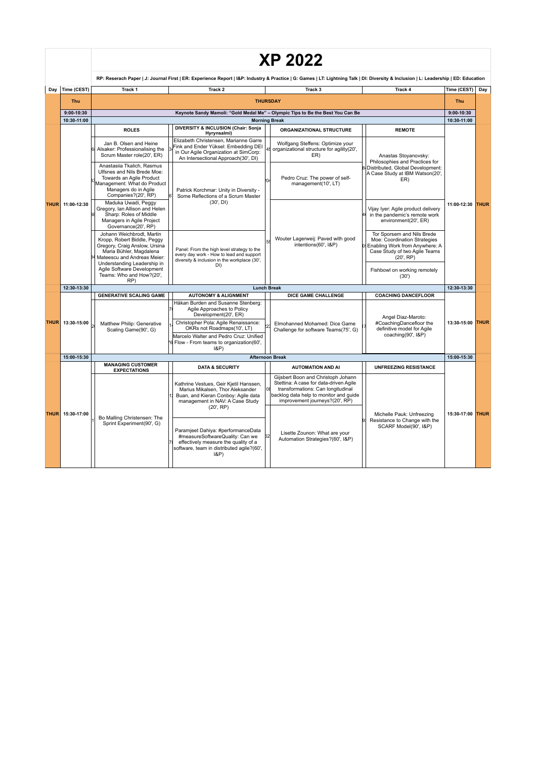|             |                                       |                                                                                                                                                                                      |                                                                                                                                                                                               | <b>XP 2022</b>                                                                       |                                                                                                                                            |                  |     |
|-------------|---------------------------------------|--------------------------------------------------------------------------------------------------------------------------------------------------------------------------------------|-----------------------------------------------------------------------------------------------------------------------------------------------------------------------------------------------|--------------------------------------------------------------------------------------|--------------------------------------------------------------------------------------------------------------------------------------------|------------------|-----|
|             |                                       | RP: Reserach Paper   J: Journal First   ER: Experience Report   I&P: Industry & Practice   G: Games   LT: Lightning Talk   DI: Diversity & Inclusion   L: Leadership   ED: Education |                                                                                                                                                                                               |                                                                                      |                                                                                                                                            |                  |     |
|             | Day Time (CEST)                       | Track 1                                                                                                                                                                              | Track 2                                                                                                                                                                                       | Track 3                                                                              | Track 4                                                                                                                                    | Time (CEST)      | Day |
|             | Thu                                   |                                                                                                                                                                                      |                                                                                                                                                                                               | <b>THURSDAY</b>                                                                      |                                                                                                                                            | Thu              |     |
|             | $9:00-10:30$                          |                                                                                                                                                                                      |                                                                                                                                                                                               | Keynote Sandy Mamoli: "Gold Medal Me" - Olympic Tips to Be the Best You Can Be       |                                                                                                                                            | $9:00-10:30$     |     |
|             | 10:30-11:00                           |                                                                                                                                                                                      |                                                                                                                                                                                               | <b>Morning Break</b>                                                                 |                                                                                                                                            | 10:30-11:00      |     |
|             | THUR 11:00-12:30                      | <b>ROLES</b>                                                                                                                                                                         | <b>DIVERSITY &amp; INCLUSION (Chair: Sonja</b><br>Hyrynsalmi)                                                                                                                                 | <b>ORGANIZATIONAL STRUCTURE</b>                                                      | <b>REMOTE</b>                                                                                                                              | 11:00-12:30 THUR |     |
|             |                                       | Jan B. Olsen and Heine<br>Alsaker: Professionalising the<br>Scrum Master role(20', ER)                                                                                               | Elizabeth Christensen, Marianne Garre<br>Fink and Ender Yüksel: Embedding DEI<br>in Our Agile Organization at SimCorp:<br>An Intersectional Approach(30', DI)                                 | Wolfgang Steffens: Optimize your<br>organizational structure for agility(20',<br>ER) | Anastas Stoyanovsky:<br>Philosophies and Practices for                                                                                     |                  |     |
|             |                                       | Anastasiia Tkalich, Rasmus<br>Ulfsnes and Nils Brede Moe:<br>Towards an Agile Product<br>Management: What do Product<br>Managers do in Agile<br>Companies?(20', RP)                  | Patrick Korchmar: Unity in Diversity -<br>Some Reflections of a Scrum Master                                                                                                                  | Pedro Cruz: The power of self-<br>management(10', LT)                                | 8 Distributed, Global Development:<br>A Case Study at IBM Watson(20',<br>ER)                                                               |                  |     |
|             |                                       | Maduka Uwadi, Peggy<br>Gregory, Ian Allison and Helen<br>Sharp: Roles of Middle<br>Managers in Agile Project<br>Governance(20', RP)                                                  | (30', D1)                                                                                                                                                                                     |                                                                                      | Vijay Iyer: Agile product delivery<br>in the pandemic's remote work<br>environment(20', ER)                                                |                  |     |
|             |                                       | Johann Weichbrodt, Martin<br>Kropp, Robert Biddle, Peggy<br>Gregory, Craig Anslow, Ursina<br>Maria Bühler, Magdalena<br>Mateescu and Andreas Meier:<br>Understanding Leadership in   | Panel: From the high level strategy to the<br>every day work - How to lead and support<br>diversity & inclusion in the workplace (30',<br>DI)                                                 | Wouter Lagerweij: Paved with good<br>intentions(60', I&P)                            | Tor Sporsem and Nils Brede<br>Moe: Coordination Strategies<br>Enabling Work from Anywhere: A<br>Case Study of two Agile Teams<br>(20', RP) |                  |     |
|             |                                       | Agile Software Development<br>Teams: Who and How?(20'.<br>RP)                                                                                                                        |                                                                                                                                                                                               |                                                                                      | Fishbowl on working remotely<br>(30')                                                                                                      |                  |     |
|             | 12:30-13:30                           |                                                                                                                                                                                      |                                                                                                                                                                                               | <b>Lunch Break</b>                                                                   |                                                                                                                                            | 12:30-13:30      |     |
|             |                                       | <b>GENERATIVE SCALING GAME</b>                                                                                                                                                       | <b>AUTONOMY &amp; ALIGNMENT</b>                                                                                                                                                               | DICE GAME CHALLENGE                                                                  | <b>COACHING DANCEFLOOR</b>                                                                                                                 |                  |     |
| <b>THUR</b> | 13:30-15:00                           | Håkan Burden and Susanne Stenberg:<br>Agile Approaches to Policy<br>Development(20', ER)<br>Christopher Pola: Agile Renaissance:<br>Matthew Philip: Generative                       | Elmohanned Mohamed: Dice Game                                                                                                                                                                 | Angel Diaz-Maroto:<br>#CoachingDancefloor the                                        | 13:30-15:00 THUR                                                                                                                           |                  |     |
|             |                                       |                                                                                                                                                                                      | OKRs not Roadmaps(10', LT)<br>Scaling Game(90', G)<br>Marcelo Walter and Pedro Cruz: Unified<br>Flow - From teams to organization(60',<br>$l$ &P)                                             | Challenge for software Teams(75', G)                                                 | definitive model for Agile<br>coaching(90', I&P)                                                                                           |                  |     |
|             | 15:00-15:30<br><b>Afternoon Break</b> |                                                                                                                                                                                      |                                                                                                                                                                                               | 15:00-15:30                                                                          |                                                                                                                                            |                  |     |
|             |                                       | <b>MANAGING CUSTOMER</b><br><b>EXPECTATIONS</b>                                                                                                                                      | <b>DATA &amp; SECURITY</b>                                                                                                                                                                    | <b>AUTOMATION AND AI</b>                                                             | <b>UNFREEZING RESISTANCE</b>                                                                                                               |                  |     |
| <b>THUR</b> | 15:30-17:00                           | Kathrine Vestues, Geir Kjetil Hanssen,<br>Marius Mikalsen, Thor Aleksander<br>Buan, and Kieran Conboy: Agile data<br>management in NAV: A Case Study<br>(20', RP)                    | Giisbert Boon and Christoph Johann<br>Stettina: A case for data-driven Agile<br>transformations: Can longitudinal<br>backlog data help to monitor and quide<br>improvement journeys?(20', RP) | Michelle Pauk: Unfreezing                                                            | 15:30-17:00 THUR                                                                                                                           |                  |     |
|             |                                       | Bo Malling Christensen: The<br>Sprint Experiment(90', G)                                                                                                                             | Paramjeet Dahiya: #performanceData<br>#measureSoftwareQuality: Can we<br>effectively measure the quality of a<br>software, team in distributed agile?(60',<br>(RP)                            | Lisette Zounon: What are your<br>Automation Strategies?(60', I&P)                    | Resistance to Change with the<br>SCARF Model(90', I&P)                                                                                     |                  |     |